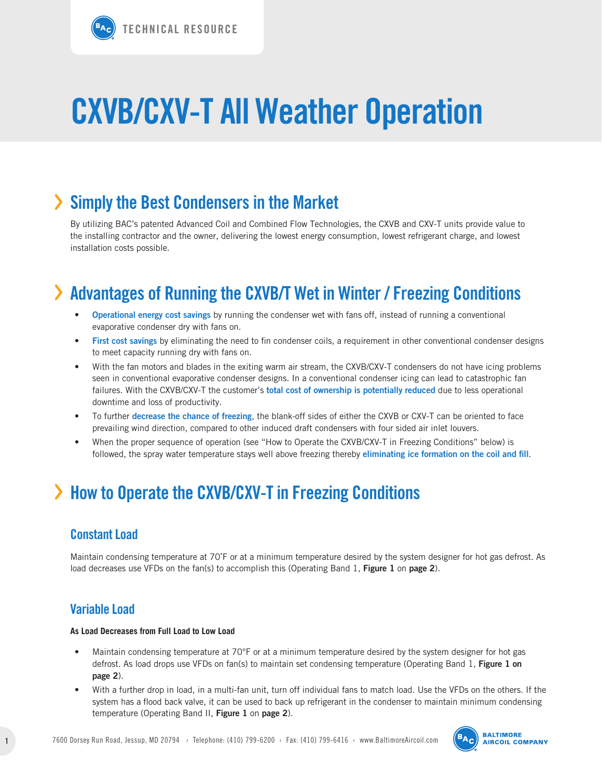## › **Simply the Best Condensers in the Market**

By utilizing BAC's patented Advanced Coil and Combined Flow Technologies, the CXVB and CXV-T units provide value to the installing contractor and the owner, delivering the lowest energy consumption, lowest refrigerant charge, and lowest installation costs possible.

## › **Advantages of Running the CXVB/T Wet in Winter / Freezing Conditions**

- **• Operational energy cost savings** by running the condenser wet with fans off, instead of running a conventional evaporative condenser dry with fans on.
- First cost savings by eliminating the need to fin condenser coils, a requirement in other conventional condenser designs to meet capacity running dry with fans on.
- With the fan motors and blades in the exiting warm air stream, the CXVB/CXV-T condensers do not have icing problems seen in conventional evaporative condenser designs. In a conventional condenser icing can lead to catastrophic fan failures. With the CXVB/CXV-T the customer's **total cost of ownership is potentially reduced** due to less operational downtime and loss of productivity.
- • To further **decrease the chance of freezing**, the blank-off sides of either the CXVB or CXV-T can be oriented to face prevailing wind direction, compared to other induced draft condensers with four sided air inlet louvers.
- When the proper sequence of operation (see "How to Operate the CXVB/CXV-T in Freezing Conditions" below) is followed, the spray water temperature stays well above freezing thereby **eliminating ice formation on the coil and fill**.

## › **How to Operate the CXVB/CXV-T in Freezing Conditions**

### **Constant Load**

Maintain condensing temperature at 70˚F or at a minimum temperature desired by the system designer for hot gas defrost. As load decreases use VFDs on the fan(s) to accomplish this (Operating Band 1, **Figure 1** on **page 2**).

### **Variable Load**

#### **As Load Decreases from Full Load to Low Load**

- Maintain condensing temperature at 70°F or at a minimum temperature desired by the system designer for hot gas defrost. As load drops use VFDs on fan(s) to maintain set condensing temperature (Operating Band 1, **Figure 1 on page 2**).
- • With a further drop in load, in a multi-fan unit, turn off individual fans to match load. Use the VFDs on the others. If the system has a flood back valve, it can be used to back up refrigerant in the condenser to maintain minimum condensing temperature (Operating Band II, **Figure 1** on **page 2**).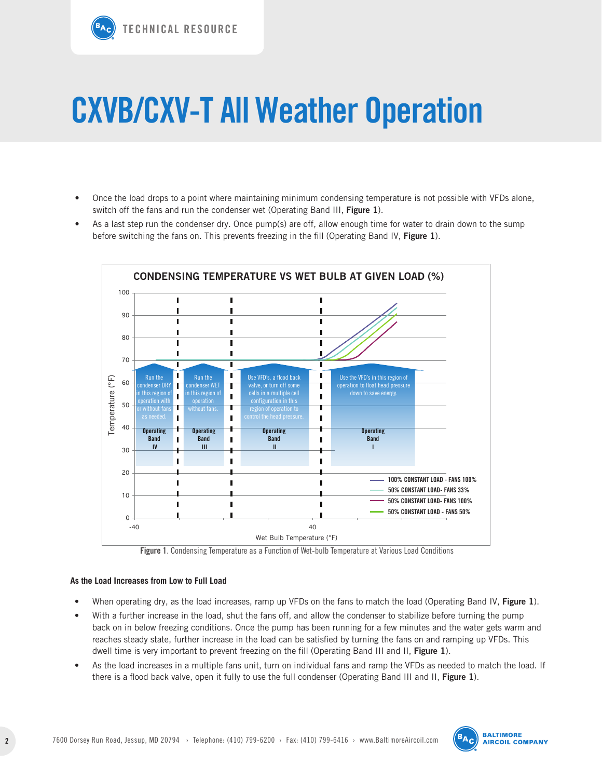

- Once the load drops to a point where maintaining minimum condensing temperature is not possible with VFDs alone, switch off the fans and run the condenser wet (Operating Band III, **Figure 1**).
- As a last step run the condenser dry. Once pump(s) are off, allow enough time for water to drain down to the sump before switching the fans on. This prevents freezing in the fill (Operating Band IV, **Figure 1**).





#### **As the Load Increases from Low to Full Load**

- • When operating dry, as the load increases, ramp up VFDs on the fans to match the load (Operating Band IV, **Figure 1**).
- With a further increase in the load, shut the fans off, and allow the condenser to stabilize before turning the pump back on in below freezing conditions. Once the pump has been running for a few minutes and the water gets warm and reaches steady state, further increase in the load can be satisfied by turning the fans on and ramping up VFDs. This dwell time is very important to prevent freezing on the fill (Operating Band III and II, **Figure 1**).
- As the load increases in a multiple fans unit, turn on individual fans and ramp the VFDs as needed to match the load. If there is a flood back valve, open it fully to use the full condenser (Operating Band III and II, **Figure 1**).

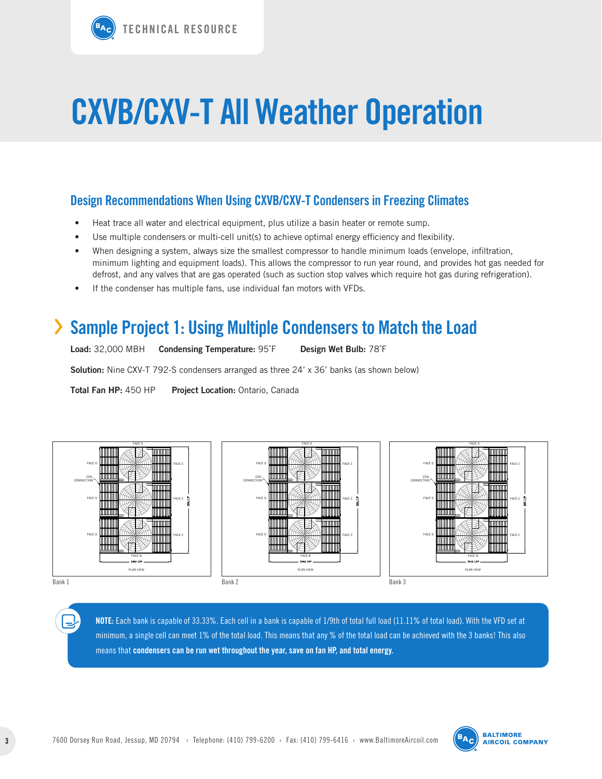### **Design Recommendations When Using CXVB/CXV-T Condensers in Freezing Climates**

- Heat trace all water and electrical equipment, plus utilize a basin heater or remote sump.
- • Use multiple condensers or multi-cell unit(s) to achieve optimal energy efficiency and flexibility.
- • When designing a system, always size the smallest compressor to handle minimum loads (envelope, infiltration, minimum lighting and equipment loads). This allows the compressor to run year round, and provides hot gas needed for defrost, and any valves that are gas operated (such as suction stop valves which require hot gas during refrigeration).
- • If the condenser has multiple fans, use individual fan motors with VFDs.

### › **Sample Project 1: Using Multiple Condensers to Match the Load**

| <b>Load: 32,000 MBH</b> | <b>Condensing Temperature: 95°F</b> | Design Wet Bulb: 78°F |
|-------------------------|-------------------------------------|-----------------------|
|                         |                                     |                       |

**Solution:** Nine CXV-T 792-S condensers arranged as three 24' x 36' banks (as shown below)

**Total Fan HP:** 450 HP **Project Location:** Ontario, Canada







**NOTE:** Each bank is capable of 33.33%. Each cell in a bank is capable of 1/9th of total full load (11.11% of total load). With the VFD set at minimum, a single cell can meet 1% of the total load. This means that any % of the total load can be achieved with the 3 banks! This also means that **condensers can be run wet throughout the year, save on fan HP, and total energy.**